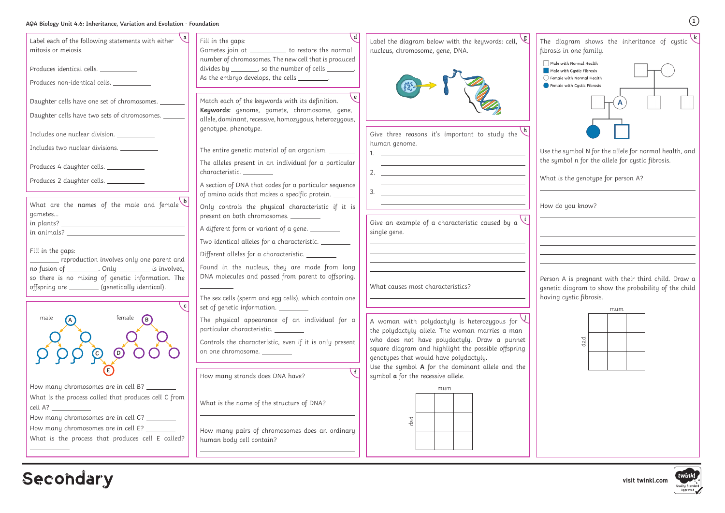**k <sup>a</sup>** The diagram shows the inheritance of cystic fibrosis in one family.  $\Box$  Male with Normal Health  $\blacksquare$  Male with Cystic Fibrosis  $\bigcirc$  Female with Normal Health Female with Cystic Fibrosis  $\mathsf{A}$ 

Use the symbol N for the allele for normal health, and the symbol n for the allele for cystic fibrosis.

What is the genotype for person A?

How do you know?

Person A is pregnant with their third child. Draw a genetic diagram to show the probability of the child having cystic fibrosis.

**1**

| Label each of the following statements with either<br>mitosis or meiosis.<br>Produces identical cells.<br>Produces non-identical cells.                                                                                                                                                                                    | Fill in the gaps:<br>Gametes join at ___________ to restore the normal<br>number of chromosomes. The new cell that is produced<br>divides by ________, so the number of cells ________.<br>As the embryo develops, the cells _________.                                                                                                                                                                                        | Label the diagram below with the keywords: cell,<br>nucleus, chromosome, gene, DNA.                                                                                                                                                                                                                                                                                                                                                   |
|----------------------------------------------------------------------------------------------------------------------------------------------------------------------------------------------------------------------------------------------------------------------------------------------------------------------------|--------------------------------------------------------------------------------------------------------------------------------------------------------------------------------------------------------------------------------------------------------------------------------------------------------------------------------------------------------------------------------------------------------------------------------|---------------------------------------------------------------------------------------------------------------------------------------------------------------------------------------------------------------------------------------------------------------------------------------------------------------------------------------------------------------------------------------------------------------------------------------|
| Daughter cells have one set of chromosomes.<br>Daughter cells have two sets of chromosomes. ___<br>Includes one nuclear division. ___________<br>Includes two nuclear divisions.<br>Produces 4 daughter cells.<br>Produces 2 daughter cells.                                                                               | e<br>Match each of the keywords with its definition.<br>Keywords: genome, gamete, chromosome, gene,<br>allele, dominant, recessive, homozygous, heterozygous,<br>genotype, phenotype.<br>The entire genetic material of an organism. _______<br>The alleles present in an individual for a particular<br>characteristic.<br>A section of DNA that codes for a particular sequence                                              | Give three reasons it's important to study the<br>human genome.<br>2. $\overline{\phantom{a}}$                                                                                                                                                                                                                                                                                                                                        |
| What are the names of the male and female<br>gametes<br>Fill in the gaps:<br>reproduction involves only one parent and<br>no fusion of __________. Only __________ is involved,<br>so there is no mixing of genetic information. The<br>offspring are _________ (genetically identical).                                   | of amino acids that makes a specific protein.<br>Only controls the physical characteristic if it is<br>present on both chromosomes.<br>A different form or variant of a gene. _______<br>Two identical alleles for a characteristic.<br>Different alleles for a characteristic.<br>Found in the nucleus, they are made from long<br>DNA molecules and passed from parent to offspring.                                         | $3.$ $\frac{1}{2}$ $\frac{1}{2}$ $\frac{1}{2}$ $\frac{1}{2}$ $\frac{1}{2}$ $\frac{1}{2}$ $\frac{1}{2}$ $\frac{1}{2}$ $\frac{1}{2}$ $\frac{1}{2}$ $\frac{1}{2}$ $\frac{1}{2}$ $\frac{1}{2}$ $\frac{1}{2}$ $\frac{1}{2}$ $\frac{1}{2}$ $\frac{1}{2}$ $\frac{1}{2}$ $\frac{1}{2}$ $\frac{1}{2}$ $\frac{1}{2}$ $\frac{1}{$<br>Give an example of a characteristic caused by a $\vee$<br>single gene.<br>What causes most characteristics? |
| female<br>male<br>(D<br>$\left( 0\right)$<br>How many chromosomes are in cell B? _______<br>What is the process called that produces cell C from<br>cell A? ___________<br>How many chromosomes are in cell C? _______<br>How many chromosomes are in cell E? ________<br>What is the process that produces cell E called? | The sex cells (sperm and egg cells), which contain one<br>set of genetic information.<br>The physical appearance of an individual for a<br>particular characteristic.<br>Controls the characteristic, even if it is only present<br>on one chromosome. _________<br>How many strands does DNA have?<br>What is the name of the structure of DNA?<br>How many pairs of chromosomes does an ordinary<br>human body cell contain? | A woman with polydactyly is heterozygous for $\vee$<br>the polydactyly allele. The woman marries a man<br>who does not have polydactyly. Draw a punnet<br>square diagram and highlight the possible offspring<br>genotypes that would have polydactyly.<br>Use the symbol A for the dominant allele and the<br>symbol $a$ for the recessive allele.<br>mum<br>$d$ a $d$                                                               |

Secondary

|     | mum |  |  |
|-----|-----|--|--|
|     |     |  |  |
| dad |     |  |  |
|     |     |  |  |

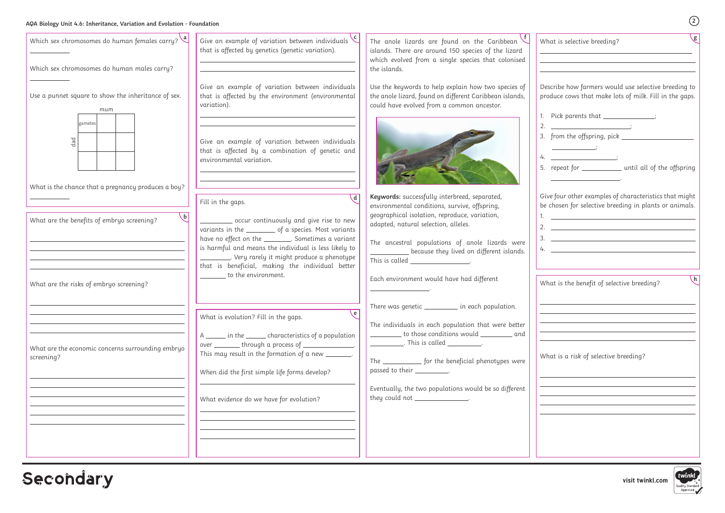### **AQA Biology Unit 4.6: Inheritance, Variation and Evolution - Foundation**

**visit twinkl.com**

| AQA Biology Unit 4.6: Inheritance, Variation and Evolution - Foundation                                                                                      |                                                                                                                                                                                                                                                                                                                                                                               |                                                                                                                                                                                                                                                                                                                                                                                                       | (2)                                                                                                                                                                                                                                                                                                                                                                                                                                                                                                                              |
|--------------------------------------------------------------------------------------------------------------------------------------------------------------|-------------------------------------------------------------------------------------------------------------------------------------------------------------------------------------------------------------------------------------------------------------------------------------------------------------------------------------------------------------------------------|-------------------------------------------------------------------------------------------------------------------------------------------------------------------------------------------------------------------------------------------------------------------------------------------------------------------------------------------------------------------------------------------------------|----------------------------------------------------------------------------------------------------------------------------------------------------------------------------------------------------------------------------------------------------------------------------------------------------------------------------------------------------------------------------------------------------------------------------------------------------------------------------------------------------------------------------------|
| Which sex chromosomes do human females carry? $\sqrt{a}$<br>Which sex chromosomes do human males carry?                                                      | Give an example of variation between individuals $\mathcal{C}$<br>that is affected by genetics (genetic variation).                                                                                                                                                                                                                                                           | The anole lizards are found on the Caribbean<br>islands. There are around 150 species of the lizard<br>which evolved from a single species that colonised<br>the islands.                                                                                                                                                                                                                             | $\sqrt{g}$<br>What is selective breeding?                                                                                                                                                                                                                                                                                                                                                                                                                                                                                        |
| Use a punnet square to show the inheritance of sex.<br>mum                                                                                                   | Give an example of variation between individuals<br>that is affected by the environment (environmental<br>variation).                                                                                                                                                                                                                                                         | Use the keywords to help explain how two species of<br>the anole lizard, found on different Caribbean islands,<br>could have evolved from a common ancestor.                                                                                                                                                                                                                                          | Describe how farmers would use selective breeding to<br>produce cows that make lots of milk. Fill in the gaps.<br>1. Pick parents that ______________;                                                                                                                                                                                                                                                                                                                                                                           |
| gametes<br>$d$ a $d$                                                                                                                                         | Give an example of variation between individuals<br>that is affected by a combination of genetic and<br>environmental variation.                                                                                                                                                                                                                                              |                                                                                                                                                                                                                                                                                                                                                                                                       | 2. $\qquad \qquad$<br>3. from the offspring, pick __<br>$4.$ $\qquad \qquad \qquad \qquad$<br>5. repeat for ___________ until all of the offspring                                                                                                                                                                                                                                                                                                                                                                               |
| What is the chance that a pregnancy produces a boy?<br>$\mathbf{b}$<br>What are the benefits of embryo screening?<br>What are the risks of embryo screening? | \ d<br>Fill in the gaps.<br>occur continuously and give rise to new<br>variants in the __________ of a species. Most variants<br>have no effect on the ________. Sometimes a variant<br>is harmful and means the individual is less likely to<br>_______. Very rarely it might produce a phenotype<br>that is beneficial, making the individual better<br>to the environment. | Keywords: successfully interbreed, separated,<br>environmental conditions, survive, offspring,<br>geographical isolation, reproduce, variation,<br>adapted, natural selection, alleles.<br>The ancestral populations of anole lizards were<br>because they lived on different islands.<br>This is called ___________________.<br>Each environment would have had different                            | Give four other examples of characteristics that might<br>be chosen for selective breeding in plants or animals.<br>2. $\frac{1}{2}$ $\frac{1}{2}$ $\frac{1}{2}$ $\frac{1}{2}$ $\frac{1}{2}$ $\frac{1}{2}$ $\frac{1}{2}$ $\frac{1}{2}$ $\frac{1}{2}$ $\frac{1}{2}$ $\frac{1}{2}$ $\frac{1}{2}$ $\frac{1}{2}$ $\frac{1}{2}$ $\frac{1}{2}$ $\frac{1}{2}$ $\frac{1}{2}$ $\frac{1}{2}$ $\frac{1}{2}$ $\frac{1}{2}$ $\frac{1}{2}$ $\frac{1}{2}$<br>$\frac{1}{2}$<br>$\lfloor h \rfloor$<br>What is the benefit of selective breeding? |
| What are the economic concerns surrounding embryo<br>screening?                                                                                              | √e.<br>What is evolution? Fill in the gaps.<br>A _______ in the ________ characteristics of a population<br>over _________ through a process of ______________.<br>This may result in the formation of a new _______.<br>When did the first simple life forms develop?<br>What evidence do we have for evolution?                                                             | There was genetic ________ in each population.<br>The individuals in each population that were better<br>_________ to those conditions would _________ and  <br>_____________. This is called ___________.<br>The _____________ for the beneficial phenotypes were<br>passed to their <i>__________</i> .<br>Eventually, the two populations would be so different<br>they could not _______________. | What is a risk of selective breeding?                                                                                                                                                                                                                                                                                                                                                                                                                                                                                            |
|                                                                                                                                                              |                                                                                                                                                                                                                                                                                                                                                                               |                                                                                                                                                                                                                                                                                                                                                                                                       |                                                                                                                                                                                                                                                                                                                                                                                                                                                                                                                                  |

## Secondary

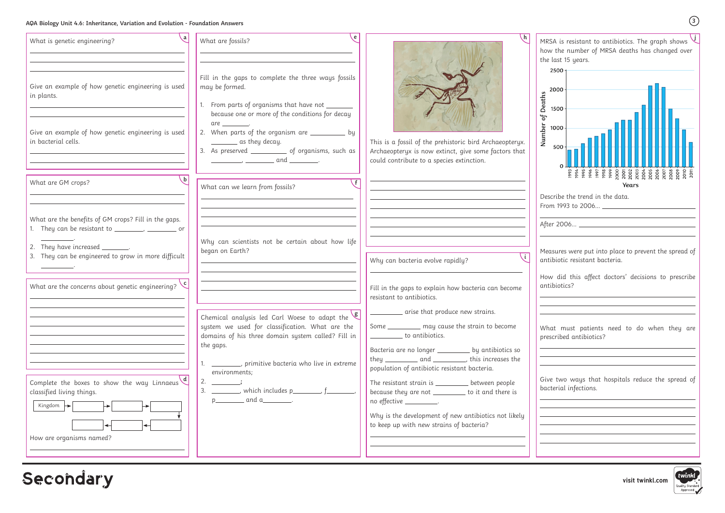### **AQA Biology Unit 4.6: Inheritance, Variation and Evolution - Foundation Answers**

**visit twinkl.com**





| What is genetic engineering?                                                                                                                                                                           | e<br>What are fossils?                                                                                                                                                                                                                                                                                                                                                                                                                                                                                                                                                         |                                                                                                                                                                                                                                                                         |
|--------------------------------------------------------------------------------------------------------------------------------------------------------------------------------------------------------|--------------------------------------------------------------------------------------------------------------------------------------------------------------------------------------------------------------------------------------------------------------------------------------------------------------------------------------------------------------------------------------------------------------------------------------------------------------------------------------------------------------------------------------------------------------------------------|-------------------------------------------------------------------------------------------------------------------------------------------------------------------------------------------------------------------------------------------------------------------------|
| Give an example of how genetic engineering is used<br>in plants.                                                                                                                                       | Fill in the gaps to complete the three ways fossils<br>may be formed.<br>1. From parts of organisms that have not ______<br>because one or more of the conditions for decay                                                                                                                                                                                                                                                                                                                                                                                                    |                                                                                                                                                                                                                                                                         |
| Give an example of how genetic engineering is used<br>in bacterial cells.                                                                                                                              | are .<br>2. When parts of the organism are __________ by<br>_________ as they decay.<br>3. As preserved _____________ of organisms, such as<br>$\frac{1}{\sqrt{1-\frac{1}{2}}}\frac{1}{\sqrt{1-\frac{1}{2}}}\frac{1}{\sqrt{1-\frac{1}{2}}}\frac{1}{\sqrt{1-\frac{1}{2}}}\frac{1}{\sqrt{1-\frac{1}{2}}}\frac{1}{\sqrt{1-\frac{1}{2}}}\frac{1}{\sqrt{1-\frac{1}{2}}}\frac{1}{\sqrt{1-\frac{1}{2}}}\frac{1}{\sqrt{1-\frac{1}{2}}}\frac{1}{\sqrt{1-\frac{1}{2}}}\frac{1}{\sqrt{1-\frac{1}{2}}}\frac{1}{\sqrt{1-\frac{1}{2}}}\frac{1}{\sqrt{1-\frac{1}{2}}}\frac{1}{\sqrt{1-\frac{$ | This is a fossil of the prehistoric bird Archaeopteryx.<br>Archaeopteryx is now extinct, give some factors that<br>could contribute to a species extinction.                                                                                                            |
| What are GM crops?                                                                                                                                                                                     | What can we learn from fossils?                                                                                                                                                                                                                                                                                                                                                                                                                                                                                                                                                |                                                                                                                                                                                                                                                                         |
| What are the benefits of GM crops? Fill in the gaps.<br>1. They can be resistant to ________, __________ or<br>2. They have increased ________.<br>3. They can be engineered to grow in more difficult | Why can scientists not be certain about how life<br>began on Earth?                                                                                                                                                                                                                                                                                                                                                                                                                                                                                                            | Why can bacteria evolve rapidly?                                                                                                                                                                                                                                        |
| What are the concerns about genetic engineering?                                                                                                                                                       |                                                                                                                                                                                                                                                                                                                                                                                                                                                                                                                                                                                | Fill in the gaps to explain how bacteria can become<br>resistant to antibiotics.                                                                                                                                                                                        |
|                                                                                                                                                                                                        | $\sqrt{g}$<br>Chemical analysis led Carl Woese to adapt the<br>system we used for classification. What are the<br>domains of his three domain system called? Fill in<br>the gaps.<br>1. ___________, primitive bacteria who live in extreme<br>environments;                                                                                                                                                                                                                                                                                                                   | arise that produce new strains.<br>Some ___________ may cause the strain to become<br>to antibiotics.<br>Bacteria are no longer __________ by antibiotics so<br>they _____________ and ____________, this increases the<br>population of antibiotic resistant bacteria. |
| Complete the boxes to show the way Linnaeus $\left\langle d \right\rangle$<br>classified living things.<br>Kingdom $\rightarrow$                                                                       | 2. $\frac{\ }{\ }$<br>3. _________, which includes p________, f_______<br>$p$ and a _______.                                                                                                                                                                                                                                                                                                                                                                                                                                                                                   | The resistant strain is ___________ between people<br>because they are not __________ to it and there is<br>no effective _________.                                                                                                                                     |
| $\overline{\phantom{0}}$<br>How are organisms named?                                                                                                                                                   |                                                                                                                                                                                                                                                                                                                                                                                                                                                                                                                                                                                | Why is the development of new antibiotics not likely<br>to keep up with new strains of bacteria?                                                                                                                                                                        |

Secondary

Number of Deaths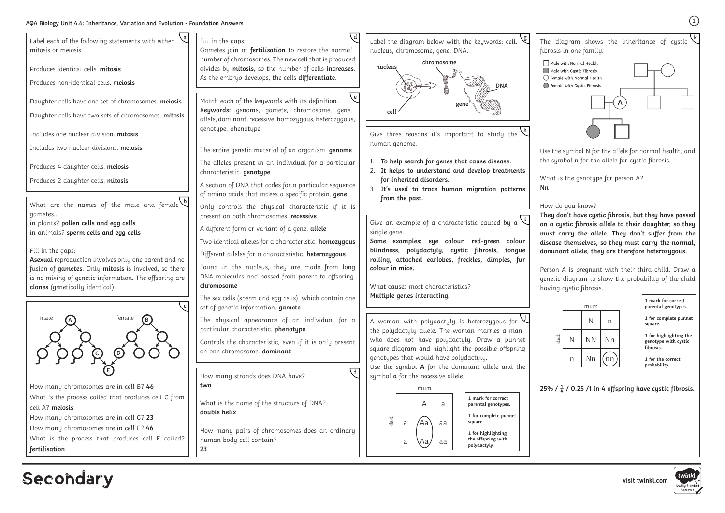**Secondary** 

**k** fibrosis in one family. Male with Normal Health Male with Cystic Fibrosis  $\bigcap$  Female with Normal Health ◯ Female with Cystic Fibrosis

Use the symbol N for the allele for normal health, and the symbol n for the allele for cystic fibrosis.

What is the genotype for person A? **Nn**

How do you know?

**They don't have cystic fibrosis, but they have passed on a cystic fibrosis allele to their daughter, so they must carry the allele. They don't suffer from the disease themselves, so they must carry the normal, dominant allele, they are therefore heterozygous.**

Person A is pregnant with their third child. Draw a genetic diagram to show the probability of the child having cystic fibrosis.

**1**



**1 mark for correct parental genotypes.**

**1 for complete punnet square.**

**1 for highlighting the genotype with cystic fibrosis.**

**1 for the correct probability.**

25% /  $\frac{1}{4}$  / 0.25 /1 in 4 offspring have cystic fibrosis.



|     |   | mum       |    |
|-----|---|-----------|----|
|     |   | Ν         | n  |
| dad | Ν | <b>NN</b> | Nn |
|     | n | Nn        | nn |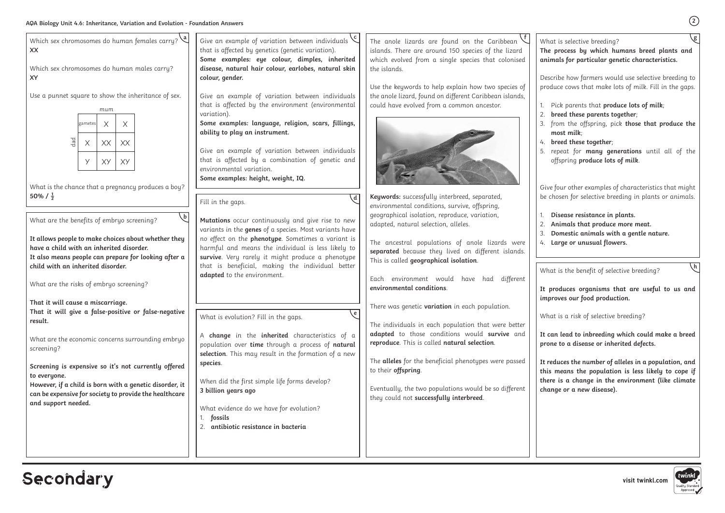| g<br>What is selective breeding?<br>The process by which humans breed plants and<br>animals for particular genetic characteristics. |                                                                                                                                            |  |  |
|-------------------------------------------------------------------------------------------------------------------------------------|--------------------------------------------------------------------------------------------------------------------------------------------|--|--|
|                                                                                                                                     | Describe how farmers would use selective breeding to<br>produce cows that make lots of milk. Fill in the gaps.                             |  |  |
| 1.<br>2.                                                                                                                            | Pick parents that produce lots of milk;<br>breed these parents together;                                                                   |  |  |
| 3.                                                                                                                                  | from the offspring, pick those that produce the<br>most milk;                                                                              |  |  |
|                                                                                                                                     | 4. breed these together;<br>5. repeat for many generations until all of the<br>offspring produce lots of milk.                             |  |  |
|                                                                                                                                     | Give four other examples of characteristics that might<br>be chosen for selective breeding in plants or animals.                           |  |  |
| 1.<br>2.<br>4.                                                                                                                      | Disease resistance in plants.<br>Animals that produce more meat.<br>3. Domestic animals with a gentle nature.<br>Large or unusual flowers. |  |  |

**2**

| Which sex chromosomes do human females carry? $\mathcal{A}$<br><b>XX</b><br>Which sex chromosomes do human males carry?<br><b>XY</b><br>Use a punnet square to show the inheritance of sex.<br>mum<br>$\times$<br>$\times$<br>gametes<br>$_{\rm{dad}}$<br>$\times$<br>XX<br>XX<br>У<br>XY<br>XY<br>What is the chance that a pregnancy produces a boy?<br>50% / $\frac{1}{2}$<br>$\mathbf{b}$<br>What are the benefits of embryo screening?<br>It allows people to make choices about whether they<br>have a child with an inherited disorder.<br>It also means people can prepare for looking after a<br>child with an inherited disorder.<br>What are the risks of embryo screening?<br>That it will cause a miscarriage.<br>That it will give a false-positive or false-negative<br>result.<br>What are the economic concerns surrounding embryo<br>screening?<br>Screening is expensive so it's not currently offered<br>to everyone.<br>However, if a child is born with a genetic disorder, it<br>can be expensive for society to provide the healthcare<br>and support needed. | Give an example of variation between individuals $\sqrt{ }$<br>that is affected by genetics (genetic variation).<br>Some examples: eye colour, dimples, inherited<br>disease, natural hair colour, earlobes, natural skin<br>colour, gender.<br>Give an example of variation between individuals<br>that is affected by the environment (environmental<br>variation).<br>Some examples: language, religion, scars, fillings,<br>ability to play an instrument.<br>Give an example of variation between individuals<br>that is affected by a combination of genetic and<br>environmental variation.<br>Some examples: height, weight, IQ.<br>Fill in the gaps.<br>Mutations occur continuously and give rise to new<br>variants in the genes of a species. Most variants have<br>no effect on the phenotype. Sometimes a variant is<br>harmful and means the individual is less likely to<br>survive. Very rarely it might produce a phenotype<br>that is beneficial, making the individual better<br>adapted to the environment.<br>What is evolution? Fill in the gaps.<br>A change in the inherited characteristics of a<br>population over time through a process of natural<br>selection. This may result in the formation of a new<br>species.<br>When did the first simple life forms develop?<br>3 billion years ago<br>What evidence do we have for evolution? | The anole lizards are found on the Caribbean<br>islands. There are around 150 species of the lizard<br>which evolved from a single species that colonised<br>the islands.<br>Use the keywords to help explain how two species of<br>the anole lizard, found on different Caribbean islands,<br>could have evolved from a common ancestor.<br>Keywords: successfully interbreed, separated,<br>environmental conditions, survive, offspring,<br>geographical isolation, reproduce, variation,<br>adapted, natural selection, alleles.<br>The ancestral populations of anole lizards were<br>separated because they lived on different islands.<br>This is called geographical isolation.<br>have had different<br>Each environment would<br>environmental conditions.<br>There was genetic variation in each population.<br>The individuals in each population that were better<br>adapted to those conditions would survive and<br>reproduce. This is called natural selection.<br>The alleles for the beneficial phenotypes were passed<br>to their offspring.<br>Eventually, the two populations would be so different<br>they could not successfully interbreed. | What is selective breeding?<br>The process by which hu<br>animals for particular gen<br>Describe how farmers wou<br>produce cows that make lo<br>Pick parents that prode<br>breed these parents too<br>from the offspring, pic<br>most milk;<br>breed these together;<br>4.<br>repeat for many gene<br>5.<br>offspring produce lots<br>Give four other examples of<br>be chosen for selective bree<br>Disease resistance in p<br>Animals that produce<br>Domestic animals with<br>Large or unusual flow<br>4.<br>What is the benefit of seled<br>It produces organisms th<br>improves our food product<br>What is a risk of selective I<br>It can lead to inbreeding<br>prone to a disease or inher<br>It reduces the number of a<br>this means the populatio |
|---------------------------------------------------------------------------------------------------------------------------------------------------------------------------------------------------------------------------------------------------------------------------------------------------------------------------------------------------------------------------------------------------------------------------------------------------------------------------------------------------------------------------------------------------------------------------------------------------------------------------------------------------------------------------------------------------------------------------------------------------------------------------------------------------------------------------------------------------------------------------------------------------------------------------------------------------------------------------------------------------------------------------------------------------------------------------------------|------------------------------------------------------------------------------------------------------------------------------------------------------------------------------------------------------------------------------------------------------------------------------------------------------------------------------------------------------------------------------------------------------------------------------------------------------------------------------------------------------------------------------------------------------------------------------------------------------------------------------------------------------------------------------------------------------------------------------------------------------------------------------------------------------------------------------------------------------------------------------------------------------------------------------------------------------------------------------------------------------------------------------------------------------------------------------------------------------------------------------------------------------------------------------------------------------------------------------------------------------------------------------------------------------------------------------------------------------------------------|---------------------------------------------------------------------------------------------------------------------------------------------------------------------------------------------------------------------------------------------------------------------------------------------------------------------------------------------------------------------------------------------------------------------------------------------------------------------------------------------------------------------------------------------------------------------------------------------------------------------------------------------------------------------------------------------------------------------------------------------------------------------------------------------------------------------------------------------------------------------------------------------------------------------------------------------------------------------------------------------------------------------------------------------------------------------------------------------------------------------------------------------------------------------|---------------------------------------------------------------------------------------------------------------------------------------------------------------------------------------------------------------------------------------------------------------------------------------------------------------------------------------------------------------------------------------------------------------------------------------------------------------------------------------------------------------------------------------------------------------------------------------------------------------------------------------------------------------------------------------------------------------------------------------------------------------|
|                                                                                                                                                                                                                                                                                                                                                                                                                                                                                                                                                                                                                                                                                                                                                                                                                                                                                                                                                                                                                                                                                       | fossils<br>antibiotic resistance in bacteria                                                                                                                                                                                                                                                                                                                                                                                                                                                                                                                                                                                                                                                                                                                                                                                                                                                                                                                                                                                                                                                                                                                                                                                                                                                                                                                           |                                                                                                                                                                                                                                                                                                                                                                                                                                                                                                                                                                                                                                                                                                                                                                                                                                                                                                                                                                                                                                                                                                                                                                     | there is a change in the<br>change or a new disease).                                                                                                                                                                                                                                                                                                                                                                                                                                                                                                                                                                                                                                                                                                         |

# Secondary

What is the benefit of selective breeding?

**It produces organisms that are useful to us and improves our food production.**

What is a risk of selective breeding?

**It can lead to inbreeding which could make a breed prone to a disease or inherited defects.**

**It reduces the number of alleles in a population, and this means the population is less likely to cope if there is a change in the environment (like climate change or a new disease).**



**h**